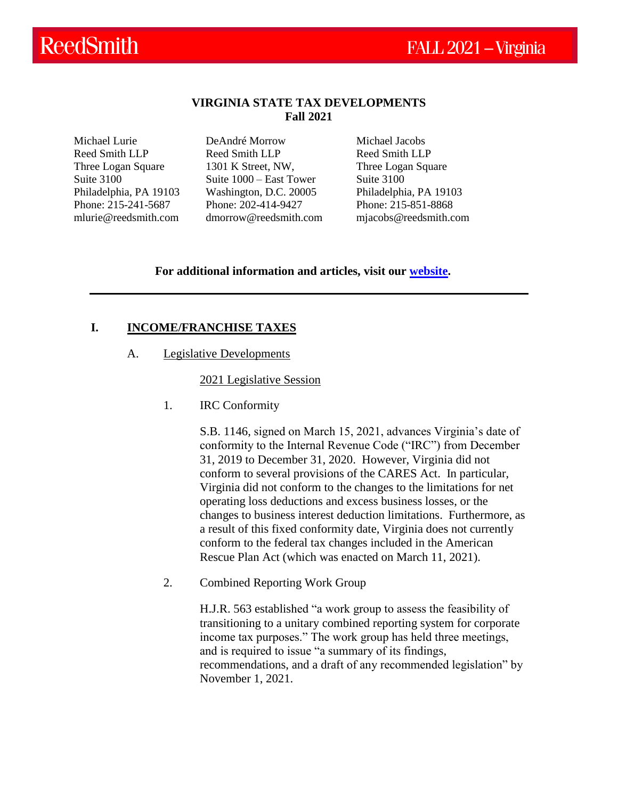## **VIRGINIA STATE TAX DEVELOPMENTS Fall 2021**

Michael Lurie Reed Smith LLP Three Logan Square Suite 3100 Philadelphia, PA 19103 Phone: 215-241-5687 mlurie@reedsmith.com DeAndré Morrow Reed Smith LLP 1301 K Street, NW, Suite 1000 – East Tower Washington, D.C. 20005 Phone: 202-414-9427 [dmorrow@reedsmith.com](mailto:dmorrow@reedsmith.com) Michael Jacobs Reed Smith LLP Three Logan Square Suite 3100 Philadelphia, PA 19103 Phone: 215-851-8868 mjacobs@reedsmith.com

## **For additional information and articles, visit our [website.](https://www.reedsmith.com/en/capabilities/services/tax-private-client-services-and-executive-compensation/state-tax)**

## **I. INCOME/FRANCHISE TAXES**

A. Legislative Developments

### 2021 Legislative Session

1. IRC Conformity

S.B. 1146, signed on March 15, 2021, advances Virginia's date of conformity to the Internal Revenue Code ("IRC") from December 31, 2019 to December 31, 2020. However, Virginia did not conform to several provisions of the CARES Act. In particular, Virginia did not conform to the changes to the limitations for net operating loss deductions and excess business losses, or the changes to business interest deduction limitations. Furthermore, as a result of this fixed conformity date, Virginia does not currently conform to the federal tax changes included in the American Rescue Plan Act (which was enacted on March 11, 2021).

2. Combined Reporting Work Group

H.J.R. 563 established "a work group to assess the feasibility of transitioning to a unitary combined reporting system for corporate income tax purposes." The work group has held three meetings, and is required to issue "a summary of its findings, recommendations, and a draft of any recommended legislation" by November 1, 2021.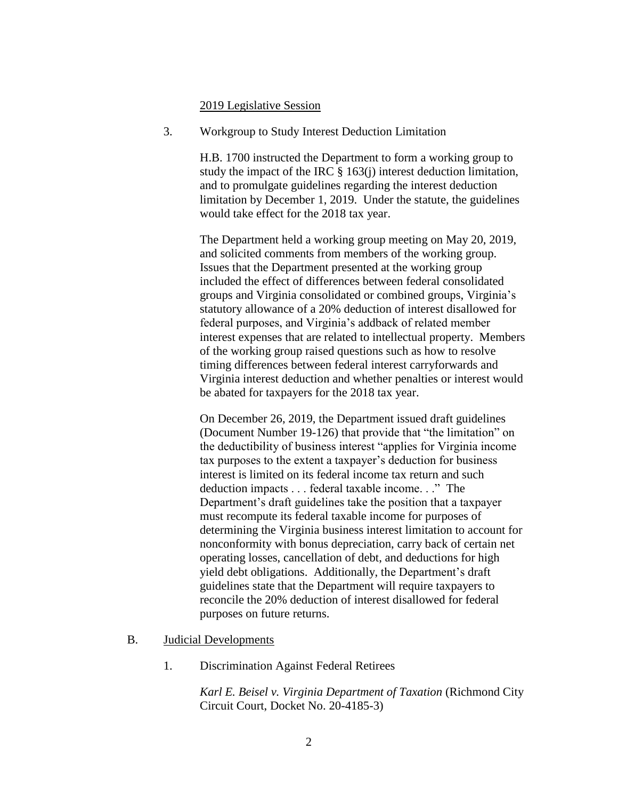#### 2019 Legislative Session

3. Workgroup to Study Interest Deduction Limitation

H.B. 1700 instructed the Department to form a working group to study the impact of the IRC § 163(j) interest deduction limitation, and to promulgate guidelines regarding the interest deduction limitation by December 1, 2019. Under the statute, the guidelines would take effect for the 2018 tax year.

The Department held a working group meeting on May 20, 2019, and solicited comments from members of the working group. Issues that the Department presented at the working group included the effect of differences between federal consolidated groups and Virginia consolidated or combined groups, Virginia's statutory allowance of a 20% deduction of interest disallowed for federal purposes, and Virginia's addback of related member interest expenses that are related to intellectual property. Members of the working group raised questions such as how to resolve timing differences between federal interest carryforwards and Virginia interest deduction and whether penalties or interest would be abated for taxpayers for the 2018 tax year.

On December 26, 2019, the Department issued draft guidelines (Document Number 19-126) that provide that "the limitation" on the deductibility of business interest "applies for Virginia income tax purposes to the extent a taxpayer's deduction for business interest is limited on its federal income tax return and such deduction impacts . . . federal taxable income. . ." The Department's draft guidelines take the position that a taxpayer must recompute its federal taxable income for purposes of determining the Virginia business interest limitation to account for nonconformity with bonus depreciation, carry back of certain net operating losses, cancellation of debt, and deductions for high yield debt obligations. Additionally, the Department's draft guidelines state that the Department will require taxpayers to reconcile the 20% deduction of interest disallowed for federal purposes on future returns.

- B. Judicial Developments
	- 1. Discrimination Against Federal Retirees

*Karl E. Beisel v. Virginia Department of Taxation* (Richmond City Circuit Court, Docket No. 20-4185-3)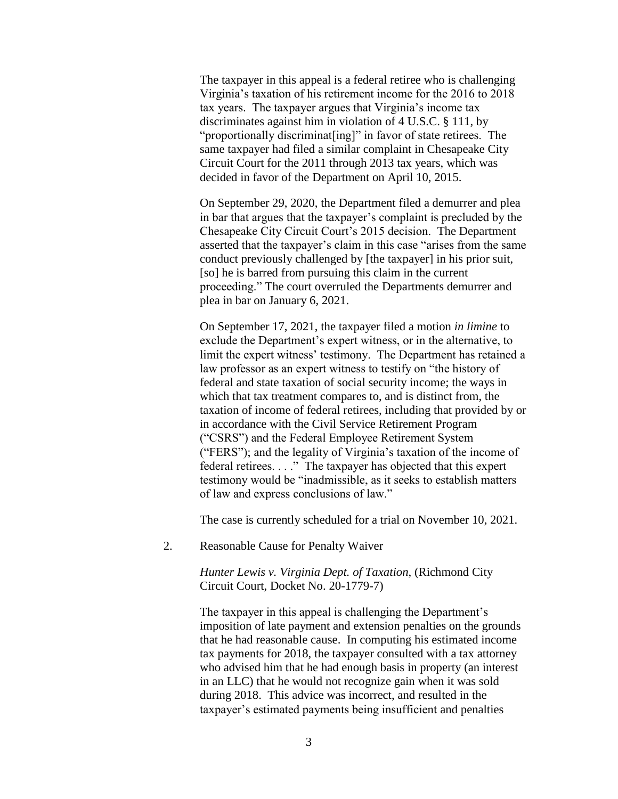The taxpayer in this appeal is a federal retiree who is challenging Virginia's taxation of his retirement income for the 2016 to 2018 tax years. The taxpayer argues that Virginia's income tax discriminates against him in violation of 4 U.S.C. § 111, by "proportionally discriminat[ing]" in favor of state retirees. The same taxpayer had filed a similar complaint in Chesapeake City Circuit Court for the 2011 through 2013 tax years, which was decided in favor of the Department on April 10, 2015.

On September 29, 2020, the Department filed a demurrer and plea in bar that argues that the taxpayer's complaint is precluded by the Chesapeake City Circuit Court's 2015 decision. The Department asserted that the taxpayer's claim in this case "arises from the same conduct previously challenged by [the taxpayer] in his prior suit, [so] he is barred from pursuing this claim in the current proceeding." The court overruled the Departments demurrer and plea in bar on January 6, 2021.

On September 17, 2021, the taxpayer filed a motion *in limine* to exclude the Department's expert witness, or in the alternative, to limit the expert witness' testimony. The Department has retained a law professor as an expert witness to testify on "the history of federal and state taxation of social security income; the ways in which that tax treatment compares to, and is distinct from, the taxation of income of federal retirees, including that provided by or in accordance with the Civil Service Retirement Program ("CSRS") and the Federal Employee Retirement System ("FERS"); and the legality of Virginia's taxation of the income of federal retirees. . . ." The taxpayer has objected that this expert testimony would be "inadmissible, as it seeks to establish matters of law and express conclusions of law."

The case is currently scheduled for a trial on November 10, 2021.

2. Reasonable Cause for Penalty Waiver

*Hunter Lewis v. Virginia Dept. of Taxation*, (Richmond City Circuit Court, Docket No. 20-1779-7)

The taxpayer in this appeal is challenging the Department's imposition of late payment and extension penalties on the grounds that he had reasonable cause. In computing his estimated income tax payments for 2018, the taxpayer consulted with a tax attorney who advised him that he had enough basis in property (an interest in an LLC) that he would not recognize gain when it was sold during 2018. This advice was incorrect, and resulted in the taxpayer's estimated payments being insufficient and penalties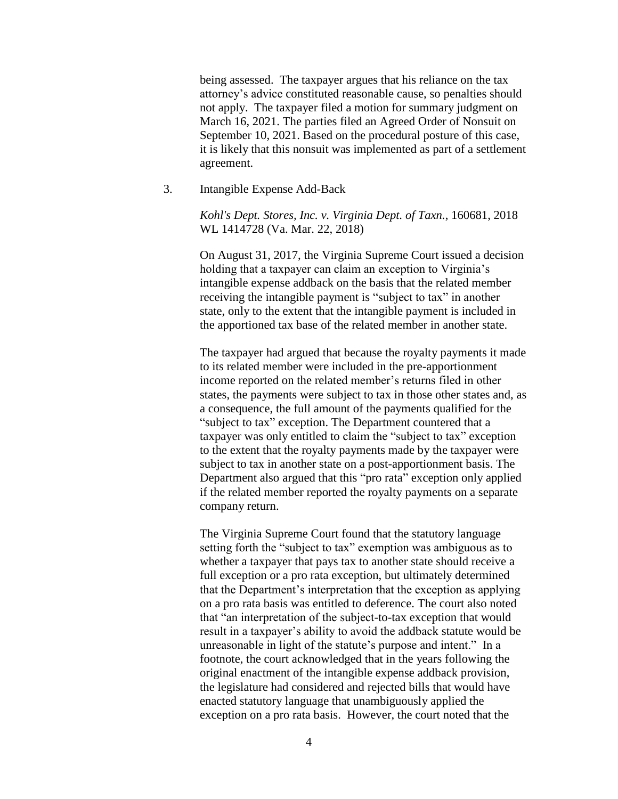being assessed. The taxpayer argues that his reliance on the tax attorney's advice constituted reasonable cause, so penalties should not apply. The taxpayer filed a motion for summary judgment on March 16, 2021. The parties filed an Agreed Order of Nonsuit on September 10, 2021. Based on the procedural posture of this case, it is likely that this nonsuit was implemented as part of a settlement agreement.

3. Intangible Expense Add-Back

*Kohl's Dept. Stores, Inc. v. Virginia Dept. of Taxn.*, 160681, 2018 WL 1414728 (Va. Mar. 22, 2018)

On August 31, 2017, the Virginia Supreme Court issued a decision holding that a taxpayer can claim an exception to Virginia's intangible expense addback on the basis that the related member receiving the intangible payment is "subject to tax" in another state, only to the extent that the intangible payment is included in the apportioned tax base of the related member in another state.

The taxpayer had argued that because the royalty payments it made to its related member were included in the pre-apportionment income reported on the related member's returns filed in other states, the payments were subject to tax in those other states and, as a consequence, the full amount of the payments qualified for the "subject to tax" exception. The Department countered that a taxpayer was only entitled to claim the "subject to tax" exception to the extent that the royalty payments made by the taxpayer were subject to tax in another state on a post-apportionment basis. The Department also argued that this "pro rata" exception only applied if the related member reported the royalty payments on a separate company return.

The Virginia Supreme Court found that the statutory language setting forth the "subject to tax" exemption was ambiguous as to whether a taxpayer that pays tax to another state should receive a full exception or a pro rata exception, but ultimately determined that the Department's interpretation that the exception as applying on a pro rata basis was entitled to deference. The court also noted that "an interpretation of the subject-to-tax exception that would result in a taxpayer's ability to avoid the addback statute would be unreasonable in light of the statute's purpose and intent." In a footnote, the court acknowledged that in the years following the original enactment of the intangible expense addback provision, the legislature had considered and rejected bills that would have enacted statutory language that unambiguously applied the exception on a pro rata basis. However, the court noted that the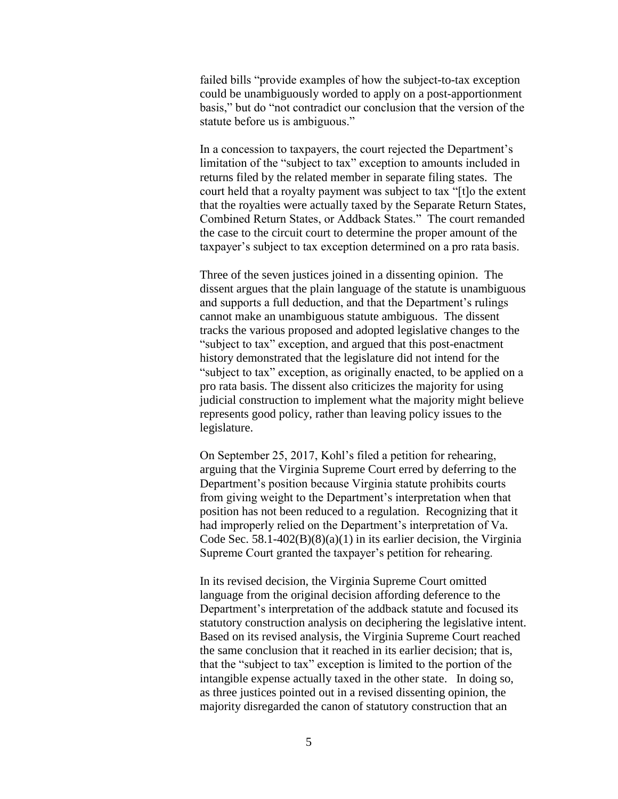failed bills "provide examples of how the subject-to-tax exception could be unambiguously worded to apply on a post-apportionment basis," but do "not contradict our conclusion that the version of the statute before us is ambiguous."

In a concession to taxpayers, the court rejected the Department's limitation of the "subject to tax" exception to amounts included in returns filed by the related member in separate filing states. The court held that a royalty payment was subject to tax "[t]o the extent that the royalties were actually taxed by the Separate Return States, Combined Return States, or Addback States." The court remanded the case to the circuit court to determine the proper amount of the taxpayer's subject to tax exception determined on a pro rata basis.

Three of the seven justices joined in a dissenting opinion. The dissent argues that the plain language of the statute is unambiguous and supports a full deduction, and that the Department's rulings cannot make an unambiguous statute ambiguous. The dissent tracks the various proposed and adopted legislative changes to the "subject to tax" exception, and argued that this post-enactment history demonstrated that the legislature did not intend for the "subject to tax" exception, as originally enacted, to be applied on a pro rata basis. The dissent also criticizes the majority for using judicial construction to implement what the majority might believe represents good policy, rather than leaving policy issues to the legislature.

On September 25, 2017, Kohl's filed a petition for rehearing, arguing that the Virginia Supreme Court erred by deferring to the Department's position because Virginia statute prohibits courts from giving weight to the Department's interpretation when that position has not been reduced to a regulation. Recognizing that it had improperly relied on the Department's interpretation of Va. Code Sec. 58.1-402 $(B)(8)(a)(1)$  in its earlier decision, the Virginia Supreme Court granted the taxpayer's petition for rehearing.

In its revised decision, the Virginia Supreme Court omitted language from the original decision affording deference to the Department's interpretation of the addback statute and focused its statutory construction analysis on deciphering the legislative intent. Based on its revised analysis, the Virginia Supreme Court reached the same conclusion that it reached in its earlier decision; that is, that the "subject to tax" exception is limited to the portion of the intangible expense actually taxed in the other state. In doing so, as three justices pointed out in a revised dissenting opinion, the majority disregarded the canon of statutory construction that an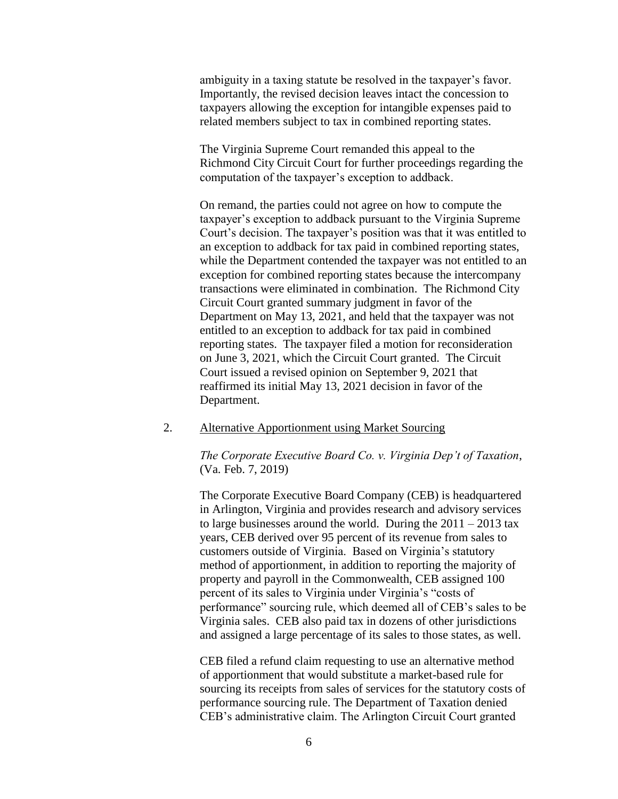ambiguity in a taxing statute be resolved in the taxpayer's favor. Importantly, the revised decision leaves intact the concession to taxpayers allowing the exception for intangible expenses paid to related members subject to tax in combined reporting states.

The Virginia Supreme Court remanded this appeal to the Richmond City Circuit Court for further proceedings regarding the computation of the taxpayer's exception to addback.

On remand, the parties could not agree on how to compute the taxpayer's exception to addback pursuant to the Virginia Supreme Court's decision. The taxpayer's position was that it was entitled to an exception to addback for tax paid in combined reporting states, while the Department contended the taxpayer was not entitled to an exception for combined reporting states because the intercompany transactions were eliminated in combination. The Richmond City Circuit Court granted summary judgment in favor of the Department on May 13, 2021, and held that the taxpayer was not entitled to an exception to addback for tax paid in combined reporting states. The taxpayer filed a motion for reconsideration on June 3, 2021, which the Circuit Court granted. The Circuit Court issued a revised opinion on September 9, 2021 that reaffirmed its initial May 13, 2021 decision in favor of the Department.

### 2. Alternative Apportionment using Market Sourcing

*The Corporate Executive Board Co. v. Virginia Dep't of Taxation*, (Va. Feb. 7, 2019)

The Corporate Executive Board Company (CEB) is headquartered in Arlington, Virginia and provides research and advisory services to large businesses around the world. During the  $2011 - 2013$  tax years, CEB derived over 95 percent of its revenue from sales to customers outside of Virginia. Based on Virginia's statutory method of apportionment, in addition to reporting the majority of property and payroll in the Commonwealth, CEB assigned 100 percent of its sales to Virginia under Virginia's "costs of performance" sourcing rule, which deemed all of CEB's sales to be Virginia sales. CEB also paid tax in dozens of other jurisdictions and assigned a large percentage of its sales to those states, as well.

CEB filed a refund claim requesting to use an alternative method of apportionment that would substitute a market-based rule for sourcing its receipts from sales of services for the statutory costs of performance sourcing rule. The Department of Taxation denied CEB's administrative claim. The Arlington Circuit Court granted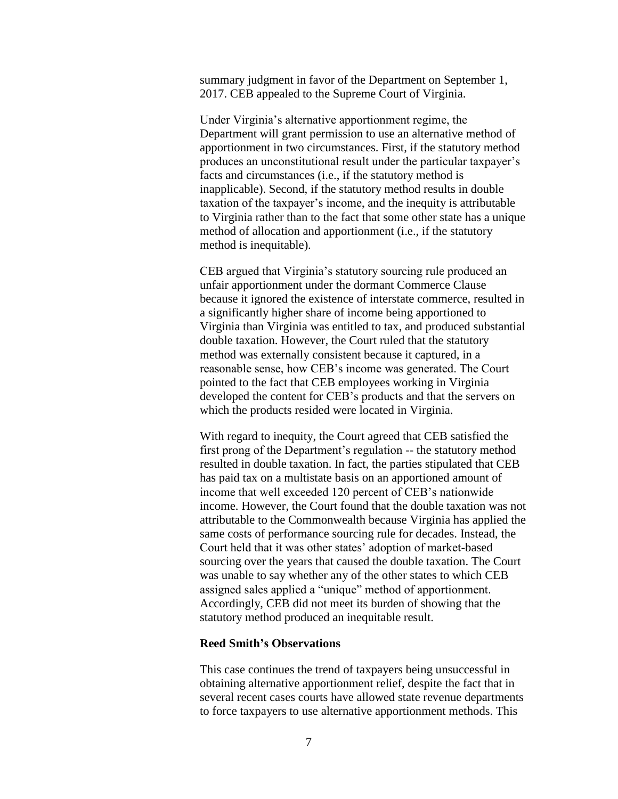summary judgment in favor of the Department on September 1, 2017. CEB appealed to the Supreme Court of Virginia.

Under Virginia's alternative apportionment regime, the Department will grant permission to use an alternative method of apportionment in two circumstances. First, if the statutory method produces an unconstitutional result under the particular taxpayer's facts and circumstances (i.e., if the statutory method is inapplicable). Second, if the statutory method results in double taxation of the taxpayer's income, and the inequity is attributable to Virginia rather than to the fact that some other state has a unique method of allocation and apportionment (i.e., if the statutory method is inequitable).

CEB argued that Virginia's statutory sourcing rule produced an unfair apportionment under the dormant Commerce Clause because it ignored the existence of interstate commerce, resulted in a significantly higher share of income being apportioned to Virginia than Virginia was entitled to tax, and produced substantial double taxation. However, the Court ruled that the statutory method was externally consistent because it captured, in a reasonable sense, how CEB's income was generated. The Court pointed to the fact that CEB employees working in Virginia developed the content for CEB's products and that the servers on which the products resided were located in Virginia.

With regard to inequity, the Court agreed that CEB satisfied the first prong of the Department's regulation -- the statutory method resulted in double taxation. In fact, the parties stipulated that CEB has paid tax on a multistate basis on an apportioned amount of income that well exceeded 120 percent of CEB's nationwide income. However, the Court found that the double taxation was not attributable to the Commonwealth because Virginia has applied the same costs of performance sourcing rule for decades. Instead, the Court held that it was other states' adoption of market-based sourcing over the years that caused the double taxation. The Court was unable to say whether any of the other states to which CEB assigned sales applied a "unique" method of apportionment. Accordingly, CEB did not meet its burden of showing that the statutory method produced an inequitable result.

### **Reed Smith's Observations**

This case continues the trend of taxpayers being unsuccessful in obtaining alternative apportionment relief, despite the fact that in several recent cases courts have allowed state revenue departments to force taxpayers to use alternative apportionment methods. This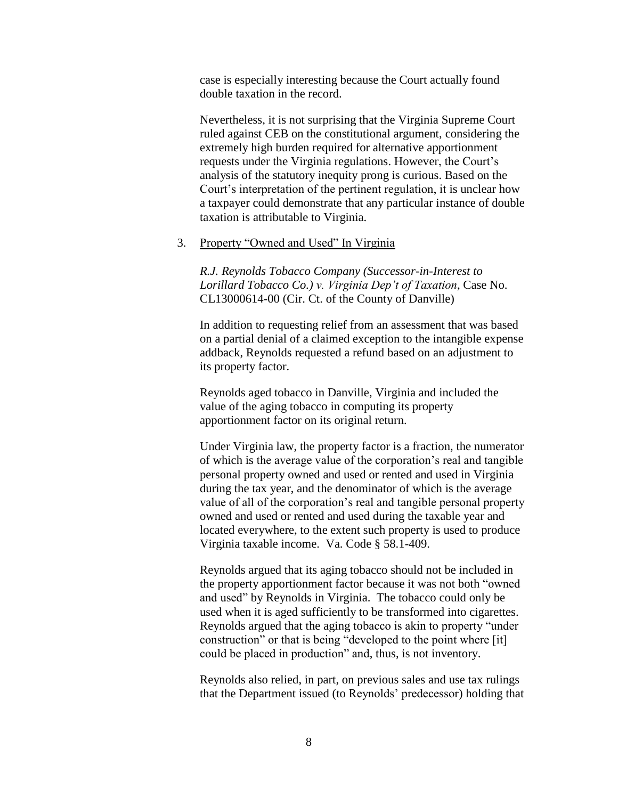case is especially interesting because the Court actually found double taxation in the record.

Nevertheless, it is not surprising that the Virginia Supreme Court ruled against CEB on the constitutional argument, considering the extremely high burden required for alternative apportionment requests under the Virginia regulations. However, the Court's analysis of the statutory inequity prong is curious. Based on the Court's interpretation of the pertinent regulation, it is unclear how a taxpayer could demonstrate that any particular instance of double taxation is attributable to Virginia.

#### 3. Property "Owned and Used" In Virginia

*R.J. Reynolds Tobacco Company (Successor-in-Interest to Lorillard Tobacco Co.) v. Virginia Dep't of Taxation*, Case No. CL13000614-00 (Cir. Ct. of the County of Danville)

In addition to requesting relief from an assessment that was based on a partial denial of a claimed exception to the intangible expense addback, Reynolds requested a refund based on an adjustment to its property factor.

Reynolds aged tobacco in Danville, Virginia and included the value of the aging tobacco in computing its property apportionment factor on its original return.

Under Virginia law, the property factor is a fraction, the numerator of which is the average value of the corporation's real and tangible personal property owned and used or rented and used in Virginia during the tax year, and the denominator of which is the average value of all of the corporation's real and tangible personal property owned and used or rented and used during the taxable year and located everywhere, to the extent such property is used to produce Virginia taxable income. Va. Code § 58.1-409.

Reynolds argued that its aging tobacco should not be included in the property apportionment factor because it was not both "owned and used" by Reynolds in Virginia. The tobacco could only be used when it is aged sufficiently to be transformed into cigarettes. Reynolds argued that the aging tobacco is akin to property "under construction" or that is being "developed to the point where [it] could be placed in production" and, thus, is not inventory.

Reynolds also relied, in part, on previous sales and use tax rulings that the Department issued (to Reynolds' predecessor) holding that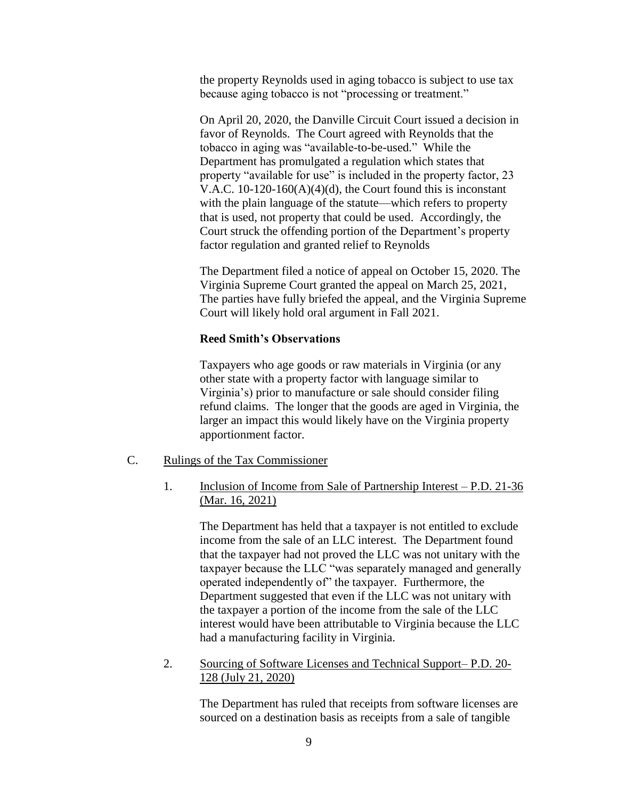the property Reynolds used in aging tobacco is subject to use tax because aging tobacco is not "processing or treatment."

On April 20, 2020, the Danville Circuit Court issued a decision in favor of Reynolds. The Court agreed with Reynolds that the tobacco in aging was "available-to-be-used." While the Department has promulgated a regulation which states that property "available for use" is included in the property factor, 23 V.A.C. 10-120-160(A)(4)(d), the Court found this is inconstant with the plain language of the statute—which refers to property that is used, not property that could be used. Accordingly, the Court struck the offending portion of the Department's property factor regulation and granted relief to Reynolds

The Department filed a notice of appeal on October 15, 2020. The Virginia Supreme Court granted the appeal on March 25, 2021, The parties have fully briefed the appeal, and the Virginia Supreme Court will likely hold oral argument in Fall 2021.

#### **Reed Smith's Observations**

Taxpayers who age goods or raw materials in Virginia (or any other state with a property factor with language similar to Virginia's) prior to manufacture or sale should consider filing refund claims. The longer that the goods are aged in Virginia, the larger an impact this would likely have on the Virginia property apportionment factor.

- C. Rulings of the Tax Commissioner
	- 1. Inclusion of Income from Sale of Partnership Interest P.D. 21-36 (Mar. 16, 2021)

The Department has held that a taxpayer is not entitled to exclude income from the sale of an LLC interest. The Department found that the taxpayer had not proved the LLC was not unitary with the taxpayer because the LLC "was separately managed and generally operated independently of" the taxpayer. Furthermore, the Department suggested that even if the LLC was not unitary with the taxpayer a portion of the income from the sale of the LLC interest would have been attributable to Virginia because the LLC had a manufacturing facility in Virginia.

2. Sourcing of Software Licenses and Technical Support– P.D. 20- 128 (July 21, 2020)

> The Department has ruled that receipts from software licenses are sourced on a destination basis as receipts from a sale of tangible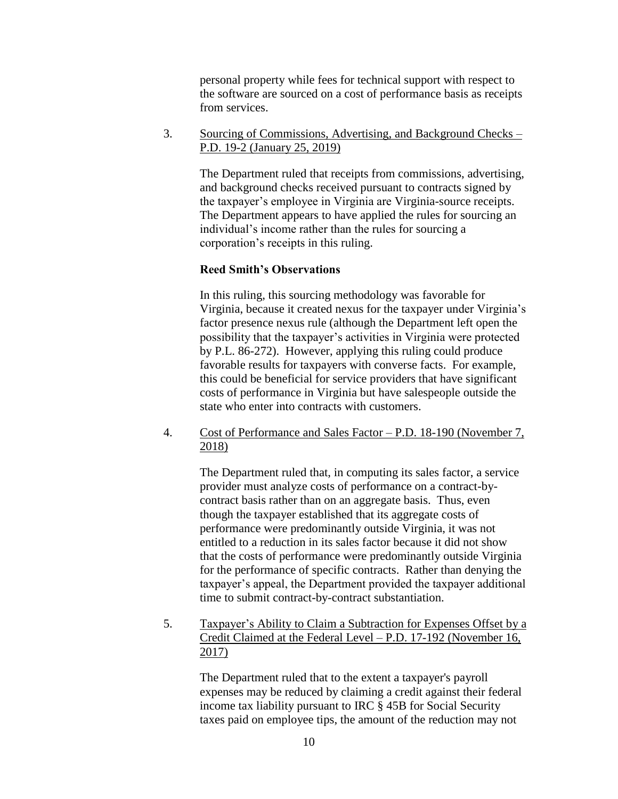personal property while fees for technical support with respect to the software are sourced on a cost of performance basis as receipts from services.

3. Sourcing of Commissions, Advertising, and Background Checks – P.D. 19-2 (January 25, 2019)

> The Department ruled that receipts from commissions, advertising, and background checks received pursuant to contracts signed by the taxpayer's employee in Virginia are Virginia-source receipts. The Department appears to have applied the rules for sourcing an individual's income rather than the rules for sourcing a corporation's receipts in this ruling.

### **Reed Smith's Observations**

In this ruling, this sourcing methodology was favorable for Virginia, because it created nexus for the taxpayer under Virginia's factor presence nexus rule (although the Department left open the possibility that the taxpayer's activities in Virginia were protected by P.L. 86-272). However, applying this ruling could produce favorable results for taxpayers with converse facts. For example, this could be beneficial for service providers that have significant costs of performance in Virginia but have salespeople outside the state who enter into contracts with customers.

4. Cost of Performance and Sales Factor – P.D. 18-190 (November 7, 2018)

> The Department ruled that, in computing its sales factor, a service provider must analyze costs of performance on a contract-bycontract basis rather than on an aggregate basis. Thus, even though the taxpayer established that its aggregate costs of performance were predominantly outside Virginia, it was not entitled to a reduction in its sales factor because it did not show that the costs of performance were predominantly outside Virginia for the performance of specific contracts. Rather than denying the taxpayer's appeal, the Department provided the taxpayer additional time to submit contract-by-contract substantiation.

5. Taxpayer's Ability to Claim a Subtraction for Expenses Offset by a Credit Claimed at the Federal Level – P.D. 17-192 (November 16, 2017)

> The Department ruled that to the extent a taxpayer's payroll expenses may be reduced by claiming a credit against their federal income tax liability pursuant to IRC § 45B for Social Security taxes paid on employee tips, the amount of the reduction may not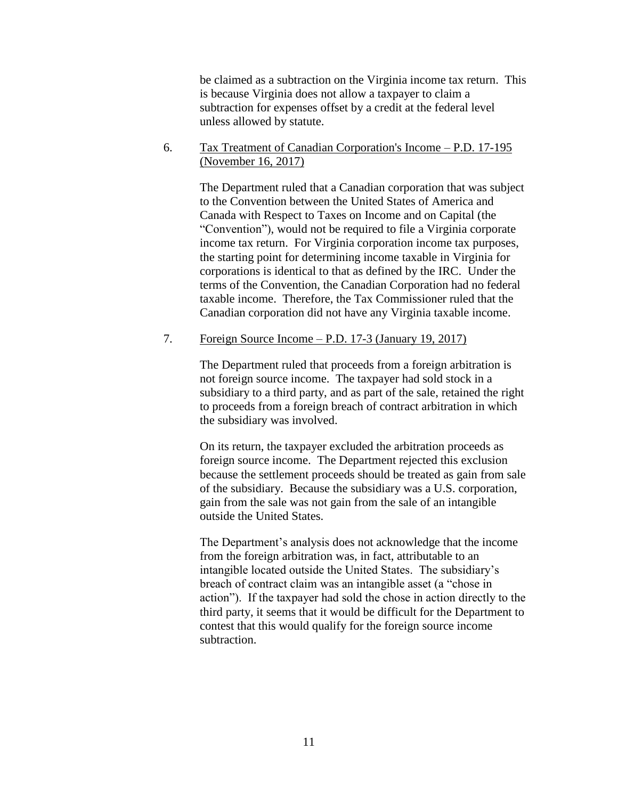be claimed as a subtraction on the Virginia income tax return. This is because Virginia does not allow a taxpayer to claim a subtraction for expenses offset by a credit at the federal level unless allowed by statute.

6. Tax Treatment of Canadian Corporation's Income – P.D. 17-195 (November 16, 2017)

> The Department ruled that a Canadian corporation that was subject to the Convention between the United States of America and Canada with Respect to Taxes on Income and on Capital (the "Convention"), would not be required to file a Virginia corporate income tax return. For Virginia corporation income tax purposes, the starting point for determining income taxable in Virginia for corporations is identical to that as defined by the IRC. Under the terms of the Convention, the Canadian Corporation had no federal taxable income. Therefore, the Tax Commissioner ruled that the Canadian corporation did not have any Virginia taxable income.

### 7. Foreign Source Income – P.D. 17-3 (January 19, 2017)

The Department ruled that proceeds from a foreign arbitration is not foreign source income. The taxpayer had sold stock in a subsidiary to a third party, and as part of the sale, retained the right to proceeds from a foreign breach of contract arbitration in which the subsidiary was involved.

On its return, the taxpayer excluded the arbitration proceeds as foreign source income. The Department rejected this exclusion because the settlement proceeds should be treated as gain from sale of the subsidiary. Because the subsidiary was a U.S. corporation, gain from the sale was not gain from the sale of an intangible outside the United States.

The Department's analysis does not acknowledge that the income from the foreign arbitration was, in fact, attributable to an intangible located outside the United States. The subsidiary's breach of contract claim was an intangible asset (a "chose in action"). If the taxpayer had sold the chose in action directly to the third party, it seems that it would be difficult for the Department to contest that this would qualify for the foreign source income subtraction.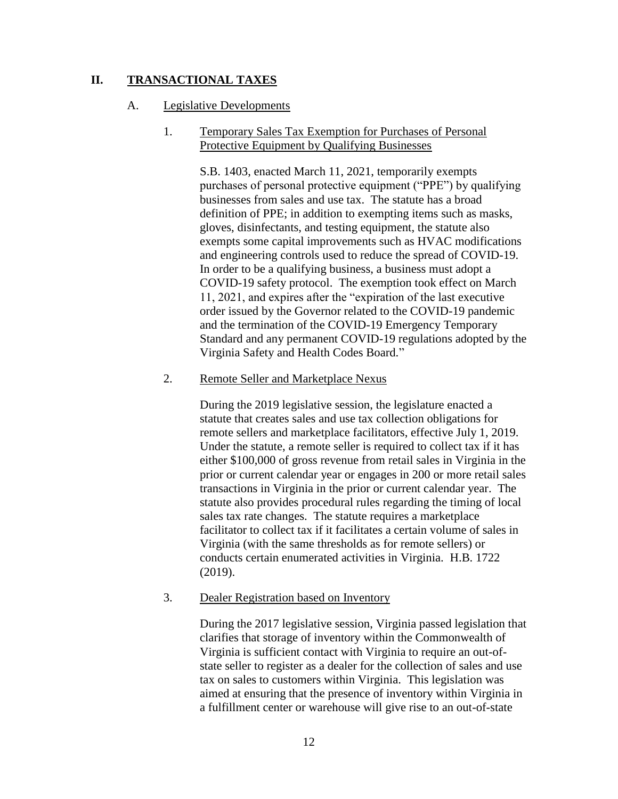## **II. TRANSACTIONAL TAXES**

### A. Legislative Developments

## 1. Temporary Sales Tax Exemption for Purchases of Personal Protective Equipment by Qualifying Businesses

S.B. 1403, enacted March 11, 2021, temporarily exempts purchases of personal protective equipment ("PPE") by qualifying businesses from sales and use tax. The statute has a broad definition of PPE; in addition to exempting items such as masks, gloves, disinfectants, and testing equipment, the statute also exempts some capital improvements such as HVAC modifications and engineering controls used to reduce the spread of COVID-19. In order to be a qualifying business, a business must adopt a COVID-19 safety protocol. The exemption took effect on March 11, 2021, and expires after the "expiration of the last executive order issued by the Governor related to the COVID-19 pandemic and the termination of the COVID-19 Emergency Temporary Standard and any permanent COVID-19 regulations adopted by the Virginia Safety and Health Codes Board."

### 2. Remote Seller and Marketplace Nexus

During the 2019 legislative session, the legislature enacted a statute that creates sales and use tax collection obligations for remote sellers and marketplace facilitators, effective July 1, 2019. Under the statute, a remote seller is required to collect tax if it has either \$100,000 of gross revenue from retail sales in Virginia in the prior or current calendar year or engages in 200 or more retail sales transactions in Virginia in the prior or current calendar year. The statute also provides procedural rules regarding the timing of local sales tax rate changes. The statute requires a marketplace facilitator to collect tax if it facilitates a certain volume of sales in Virginia (with the same thresholds as for remote sellers) or conducts certain enumerated activities in Virginia. H.B. 1722 (2019).

## 3. Dealer Registration based on Inventory

During the 2017 legislative session, Virginia passed legislation that clarifies that storage of inventory within the Commonwealth of Virginia is sufficient contact with Virginia to require an out-ofstate seller to register as a dealer for the collection of sales and use tax on sales to customers within Virginia. This legislation was aimed at ensuring that the presence of inventory within Virginia in a fulfillment center or warehouse will give rise to an out-of-state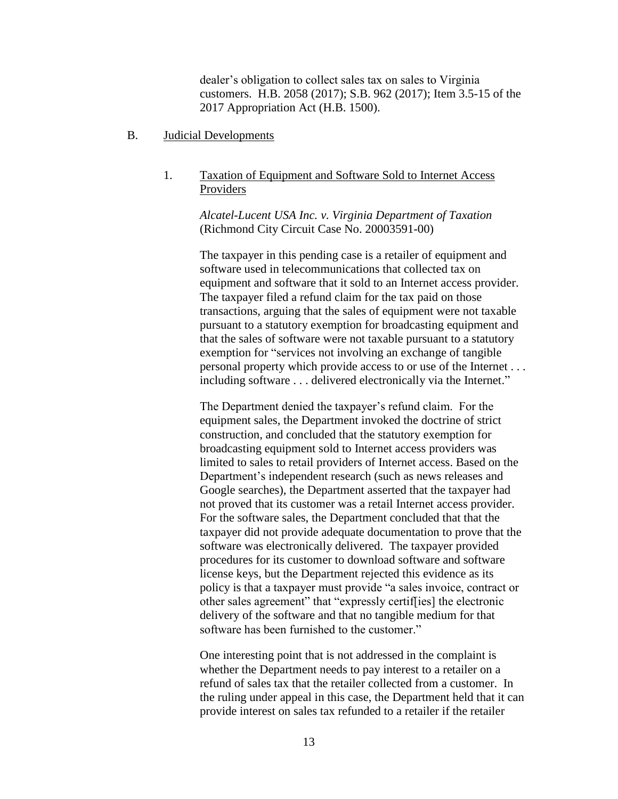dealer's obligation to collect sales tax on sales to Virginia customers. H.B. 2058 (2017); S.B. 962 (2017); Item 3.5-15 of the 2017 Appropriation Act (H.B. 1500).

B. Judicial Developments

## 1. Taxation of Equipment and Software Sold to Internet Access Providers

*Alcatel-Lucent USA Inc. v. Virginia Department of Taxation*  (Richmond City Circuit Case No. 20003591-00)

The taxpayer in this pending case is a retailer of equipment and software used in telecommunications that collected tax on equipment and software that it sold to an Internet access provider. The taxpayer filed a refund claim for the tax paid on those transactions, arguing that the sales of equipment were not taxable pursuant to a statutory exemption for broadcasting equipment and that the sales of software were not taxable pursuant to a statutory exemption for "services not involving an exchange of tangible personal property which provide access to or use of the Internet . . . including software . . . delivered electronically via the Internet."

The Department denied the taxpayer's refund claim. For the equipment sales, the Department invoked the doctrine of strict construction, and concluded that the statutory exemption for broadcasting equipment sold to Internet access providers was limited to sales to retail providers of Internet access. Based on the Department's independent research (such as news releases and Google searches), the Department asserted that the taxpayer had not proved that its customer was a retail Internet access provider. For the software sales, the Department concluded that that the taxpayer did not provide adequate documentation to prove that the software was electronically delivered. The taxpayer provided procedures for its customer to download software and software license keys, but the Department rejected this evidence as its policy is that a taxpayer must provide "a sales invoice, contract or other sales agreement" that "expressly certif[ies] the electronic delivery of the software and that no tangible medium for that software has been furnished to the customer."

One interesting point that is not addressed in the complaint is whether the Department needs to pay interest to a retailer on a refund of sales tax that the retailer collected from a customer. In the ruling under appeal in this case, the Department held that it can provide interest on sales tax refunded to a retailer if the retailer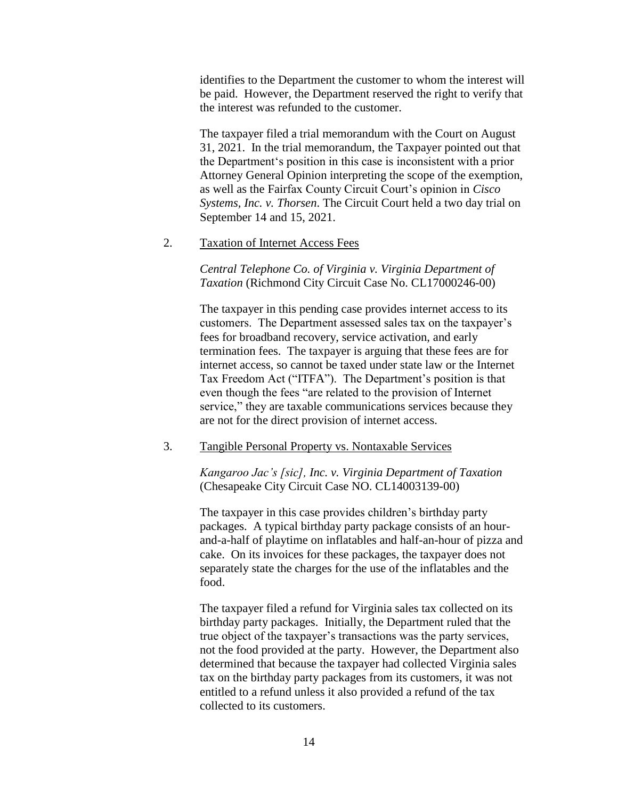identifies to the Department the customer to whom the interest will be paid. However, the Department reserved the right to verify that the interest was refunded to the customer.

The taxpayer filed a trial memorandum with the Court on August 31, 2021. In the trial memorandum, the Taxpayer pointed out that the Department's position in this case is inconsistent with a prior Attorney General Opinion interpreting the scope of the exemption, as well as the Fairfax County Circuit Court's opinion in *Cisco Systems, Inc. v. Thorsen*. The Circuit Court held a two day trial on September 14 and 15, 2021.

#### 2. Taxation of Internet Access Fees

*Central Telephone Co. of Virginia v. Virginia Department of Taxation* (Richmond City Circuit Case No. CL17000246-00)

The taxpayer in this pending case provides internet access to its customers. The Department assessed sales tax on the taxpayer's fees for broadband recovery, service activation, and early termination fees. The taxpayer is arguing that these fees are for internet access, so cannot be taxed under state law or the Internet Tax Freedom Act ("ITFA"). The Department's position is that even though the fees "are related to the provision of Internet service," they are taxable communications services because they are not for the direct provision of internet access.

### 3. Tangible Personal Property vs. Nontaxable Services

*Kangaroo Jac's [sic], Inc. v. Virginia Department of Taxation* (Chesapeake City Circuit Case NO. CL14003139-00)

The taxpayer in this case provides children's birthday party packages. A typical birthday party package consists of an hourand-a-half of playtime on inflatables and half-an-hour of pizza and cake. On its invoices for these packages, the taxpayer does not separately state the charges for the use of the inflatables and the food.

The taxpayer filed a refund for Virginia sales tax collected on its birthday party packages. Initially, the Department ruled that the true object of the taxpayer's transactions was the party services, not the food provided at the party. However, the Department also determined that because the taxpayer had collected Virginia sales tax on the birthday party packages from its customers, it was not entitled to a refund unless it also provided a refund of the tax collected to its customers.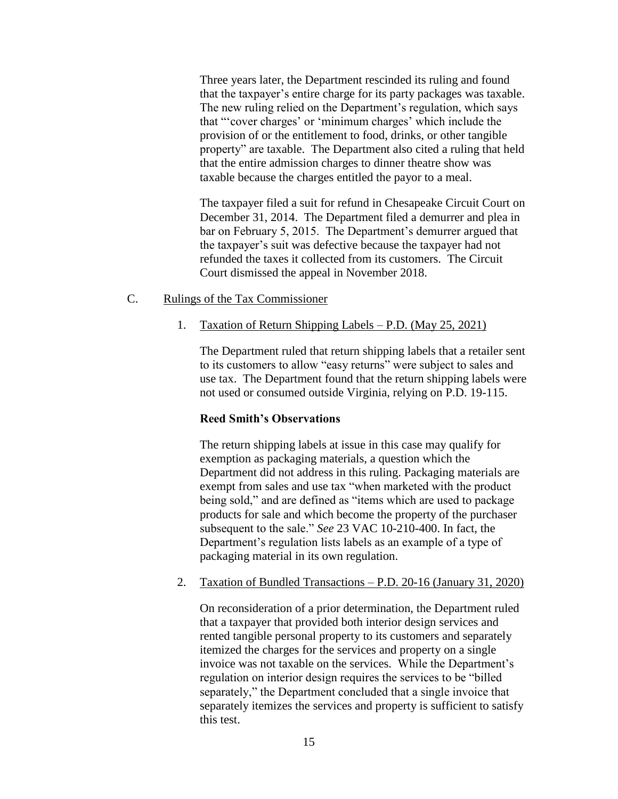Three years later, the Department rescinded its ruling and found that the taxpayer's entire charge for its party packages was taxable. The new ruling relied on the Department's regulation, which says that "'cover charges' or 'minimum charges' which include the provision of or the entitlement to food, drinks, or other tangible property" are taxable. The Department also cited a ruling that held that the entire admission charges to dinner theatre show was taxable because the charges entitled the payor to a meal.

The taxpayer filed a suit for refund in Chesapeake Circuit Court on December 31, 2014. The Department filed a demurrer and plea in bar on February 5, 2015. The Department's demurrer argued that the taxpayer's suit was defective because the taxpayer had not refunded the taxes it collected from its customers. The Circuit Court dismissed the appeal in November 2018.

#### C. Rulings of the Tax Commissioner

#### 1. Taxation of Return Shipping Labels – P.D. (May 25, 2021)

The Department ruled that return shipping labels that a retailer sent to its customers to allow "easy returns" were subject to sales and use tax. The Department found that the return shipping labels were not used or consumed outside Virginia, relying on P.D. 19-115.

#### **Reed Smith's Observations**

The return shipping labels at issue in this case may qualify for exemption as packaging materials, a question which the Department did not address in this ruling. Packaging materials are exempt from sales and use tax "when marketed with the product being sold," and are defined as "items which are used to package products for sale and which become the property of the purchaser subsequent to the sale." *See* 23 VAC 10-210-400. In fact, the Department's regulation lists labels as an example of a type of packaging material in its own regulation.

## 2. Taxation of Bundled Transactions – P.D. 20-16 (January 31, 2020)

On reconsideration of a prior determination, the Department ruled that a taxpayer that provided both interior design services and rented tangible personal property to its customers and separately itemized the charges for the services and property on a single invoice was not taxable on the services. While the Department's regulation on interior design requires the services to be "billed separately," the Department concluded that a single invoice that separately itemizes the services and property is sufficient to satisfy this test.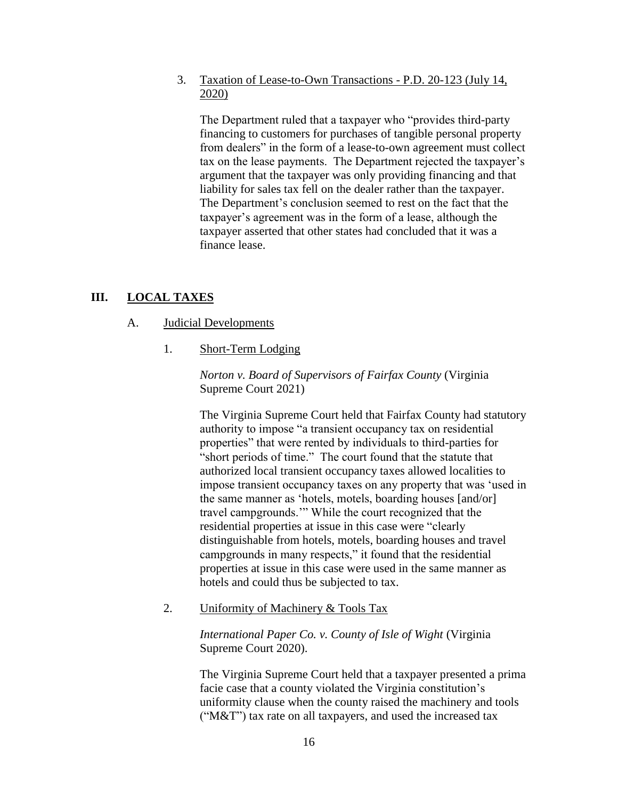3. Taxation of Lease-to-Own Transactions - P.D. 20-123 (July 14, 2020)

The Department ruled that a taxpayer who "provides third-party financing to customers for purchases of tangible personal property from dealers" in the form of a lease-to-own agreement must collect tax on the lease payments. The Department rejected the taxpayer's argument that the taxpayer was only providing financing and that liability for sales tax fell on the dealer rather than the taxpayer. The Department's conclusion seemed to rest on the fact that the taxpayer's agreement was in the form of a lease, although the taxpayer asserted that other states had concluded that it was a finance lease.

# **III. LOCAL TAXES**

### A. Judicial Developments

1. Short-Term Lodging

*Norton v. Board of Supervisors of Fairfax County* (Virginia Supreme Court 2021)

The Virginia Supreme Court held that Fairfax County had statutory authority to impose "a transient occupancy tax on residential properties" that were rented by individuals to third-parties for "short periods of time." The court found that the statute that authorized local transient occupancy taxes allowed localities to impose transient occupancy taxes on any property that was 'used in the same manner as 'hotels, motels, boarding houses [and/or] travel campgrounds.'" While the court recognized that the residential properties at issue in this case were "clearly distinguishable from hotels, motels, boarding houses and travel campgrounds in many respects," it found that the residential properties at issue in this case were used in the same manner as hotels and could thus be subjected to tax.

2. Uniformity of Machinery & Tools Tax

*International Paper Co. v. County of Isle of Wight* (Virginia Supreme Court 2020).

The Virginia Supreme Court held that a taxpayer presented a prima facie case that a county violated the Virginia constitution's uniformity clause when the county raised the machinery and tools ("M&T") tax rate on all taxpayers, and used the increased tax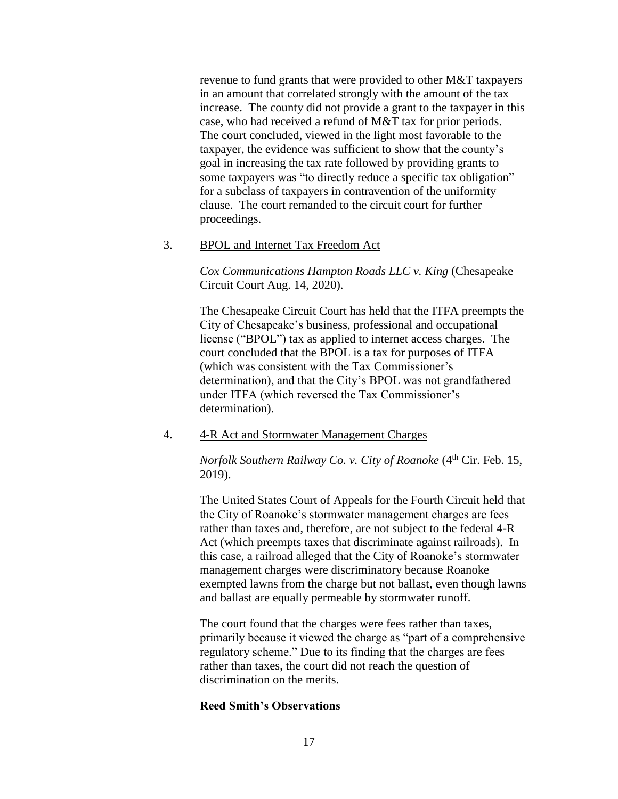revenue to fund grants that were provided to other M&T taxpayers in an amount that correlated strongly with the amount of the tax increase. The county did not provide a grant to the taxpayer in this case, who had received a refund of M&T tax for prior periods. The court concluded, viewed in the light most favorable to the taxpayer, the evidence was sufficient to show that the county's goal in increasing the tax rate followed by providing grants to some taxpayers was "to directly reduce a specific tax obligation" for a subclass of taxpayers in contravention of the uniformity clause. The court remanded to the circuit court for further proceedings.

### 3. BPOL and Internet Tax Freedom Act

*Cox Communications Hampton Roads LLC v. King* (Chesapeake Circuit Court Aug. 14, 2020).

The Chesapeake Circuit Court has held that the ITFA preempts the City of Chesapeake's business, professional and occupational license ("BPOL") tax as applied to internet access charges. The court concluded that the BPOL is a tax for purposes of ITFA (which was consistent with the Tax Commissioner's determination), and that the City's BPOL was not grandfathered under ITFA (which reversed the Tax Commissioner's determination).

4. 4-R Act and Stormwater Management Charges

*Norfolk Southern Railway Co. v. City of Roanoke* (4<sup>th</sup> Cir. Feb. 15, 2019).

The United States Court of Appeals for the Fourth Circuit held that the City of Roanoke's stormwater management charges are fees rather than taxes and, therefore, are not subject to the federal 4-R Act (which preempts taxes that discriminate against railroads). In this case, a railroad alleged that the City of Roanoke's stormwater management charges were discriminatory because Roanoke exempted lawns from the charge but not ballast, even though lawns and ballast are equally permeable by stormwater runoff.

The court found that the charges were fees rather than taxes, primarily because it viewed the charge as "part of a comprehensive regulatory scheme." Due to its finding that the charges are fees rather than taxes, the court did not reach the question of discrimination on the merits.

## **Reed Smith's Observations**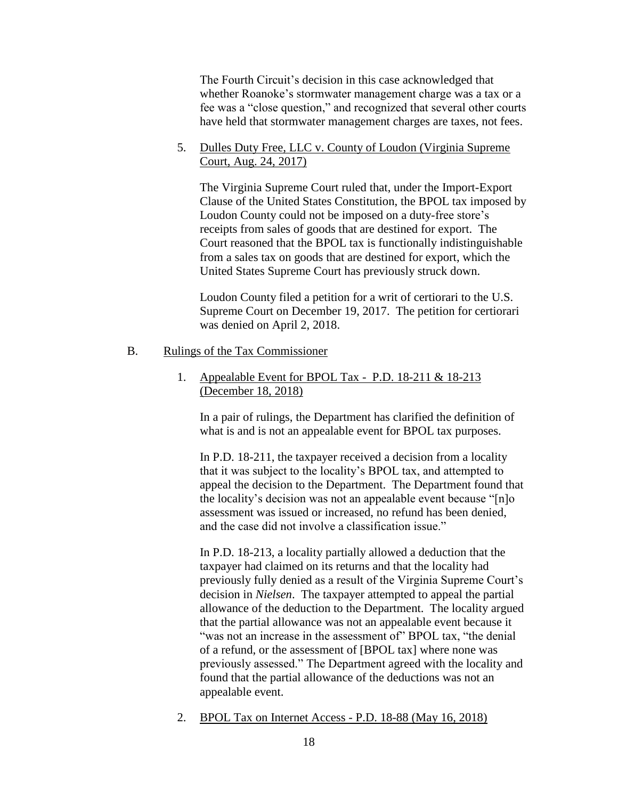The Fourth Circuit's decision in this case acknowledged that whether Roanoke's stormwater management charge was a tax or a fee was a "close question," and recognized that several other courts have held that stormwater management charges are taxes, not fees.

## 5. Dulles Duty Free, LLC v. County of Loudon (Virginia Supreme Court, Aug. 24, 2017)

The Virginia Supreme Court ruled that, under the Import-Export Clause of the United States Constitution, the BPOL tax imposed by Loudon County could not be imposed on a duty-free store's receipts from sales of goods that are destined for export. The Court reasoned that the BPOL tax is functionally indistinguishable from a sales tax on goods that are destined for export, which the United States Supreme Court has previously struck down.

Loudon County filed a petition for a writ of certiorari to the U.S. Supreme Court on December 19, 2017. The petition for certiorari was denied on April 2, 2018.

#### B. Rulings of the Tax Commissioner

## 1. Appealable Event for BPOL Tax - P.D. 18-211 & 18-213 (December 18, 2018)

In a pair of rulings, the Department has clarified the definition of what is and is not an appealable event for BPOL tax purposes.

In P.D. 18-211, the taxpayer received a decision from a locality that it was subject to the locality's BPOL tax, and attempted to appeal the decision to the Department. The Department found that the locality's decision was not an appealable event because "[n]o assessment was issued or increased, no refund has been denied, and the case did not involve a classification issue."

In P.D. 18-213, a locality partially allowed a deduction that the taxpayer had claimed on its returns and that the locality had previously fully denied as a result of the Virginia Supreme Court's decision in *Nielsen*. The taxpayer attempted to appeal the partial allowance of the deduction to the Department. The locality argued that the partial allowance was not an appealable event because it "was not an increase in the assessment of" BPOL tax, "the denial of a refund, or the assessment of [BPOL tax] where none was previously assessed." The Department agreed with the locality and found that the partial allowance of the deductions was not an appealable event.

2. BPOL Tax on Internet Access - P.D. 18-88 (May 16, 2018)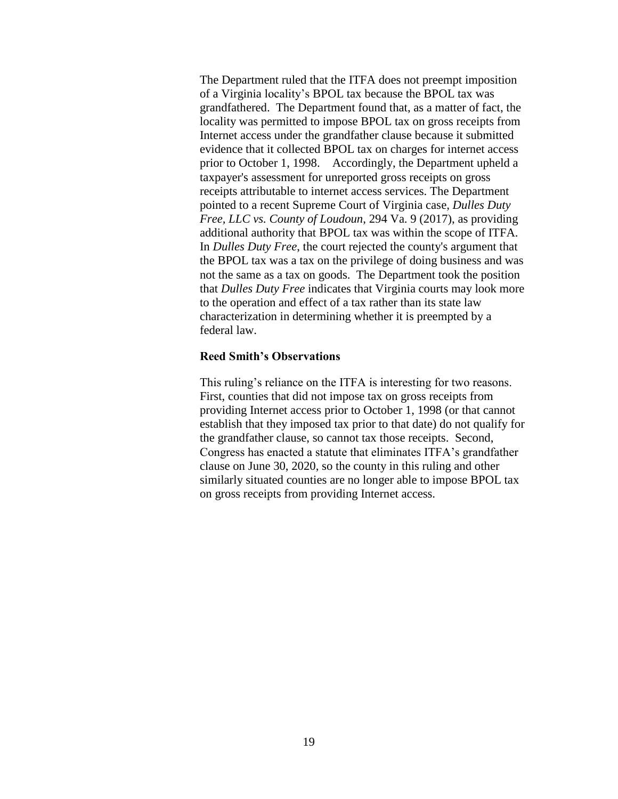The Department ruled that the ITFA does not preempt imposition of a Virginia locality's BPOL tax because the BPOL tax was grandfathered. The Department found that, as a matter of fact, the locality was permitted to impose BPOL tax on gross receipts from Internet access under the grandfather clause because it submitted evidence that it collected BPOL tax on charges for internet access prior to October 1, 1998. Accordingly, the Department upheld a taxpayer's assessment for unreported gross receipts on gross receipts attributable to internet access services. The Department pointed to a recent Supreme Court of Virginia case, *Dulles Duty Free, LLC vs. County of Loudoun*, 294 Va. 9 (2017), as providing additional authority that BPOL tax was within the scope of ITFA. In *Dulles Duty Free*, the court rejected the county's argument that the BPOL tax was a tax on the privilege of doing business and was not the same as a tax on goods. The Department took the position that *Dulles Duty Free* indicates that Virginia courts may look more to the operation and effect of a tax rather than its state law characterization in determining whether it is preempted by a federal law.

#### **Reed Smith's Observations**

This ruling's reliance on the ITFA is interesting for two reasons. First, counties that did not impose tax on gross receipts from providing Internet access prior to October 1, 1998 (or that cannot establish that they imposed tax prior to that date) do not qualify for the grandfather clause, so cannot tax those receipts. Second, Congress has enacted a statute that eliminates ITFA's grandfather clause on June 30, 2020, so the county in this ruling and other similarly situated counties are no longer able to impose BPOL tax on gross receipts from providing Internet access.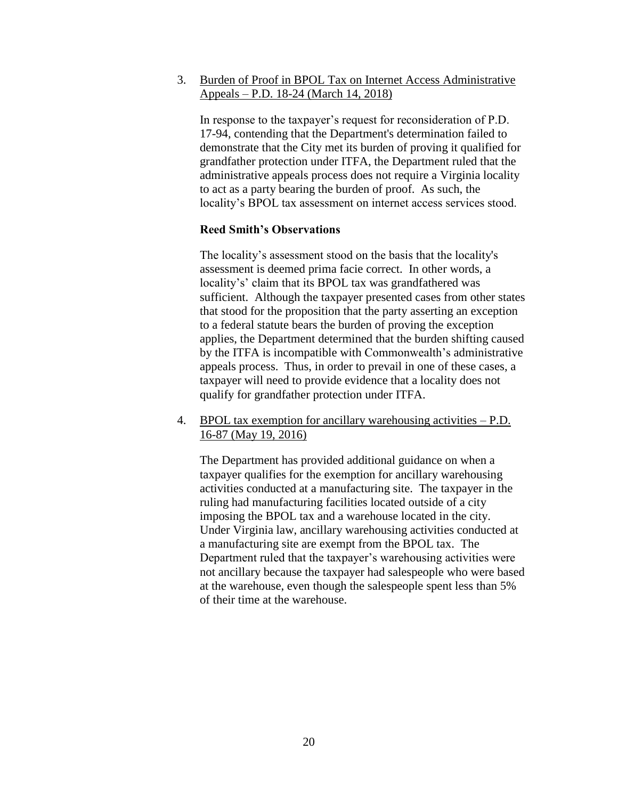3. Burden of Proof in BPOL Tax on Internet Access Administrative Appeals – P.D. 18-24 (March 14, 2018)

In response to the taxpayer's request for reconsideration of P.D. 17-94, contending that the Department's determination failed to demonstrate that the City met its burden of proving it qualified for grandfather protection under ITFA, the Department ruled that the administrative appeals process does not require a Virginia locality to act as a party bearing the burden of proof. As such, the locality's BPOL tax assessment on internet access services stood.

### **Reed Smith's Observations**

The locality's assessment stood on the basis that the locality's assessment is deemed prima facie correct. In other words, a locality's' claim that its BPOL tax was grandfathered was sufficient. Although the taxpayer presented cases from other states that stood for the proposition that the party asserting an exception to a federal statute bears the burden of proving the exception applies, the Department determined that the burden shifting caused by the ITFA is incompatible with Commonwealth's administrative appeals process. Thus, in order to prevail in one of these cases, a taxpayer will need to provide evidence that a locality does not qualify for grandfather protection under ITFA.

4. BPOL tax exemption for ancillary warehousing activities – P.D. 16-87 (May 19, 2016)

The Department has provided additional guidance on when a taxpayer qualifies for the exemption for ancillary warehousing activities conducted at a manufacturing site. The taxpayer in the ruling had manufacturing facilities located outside of a city imposing the BPOL tax and a warehouse located in the city. Under Virginia law, ancillary warehousing activities conducted at a manufacturing site are exempt from the BPOL tax. The Department ruled that the taxpayer's warehousing activities were not ancillary because the taxpayer had salespeople who were based at the warehouse, even though the salespeople spent less than 5% of their time at the warehouse.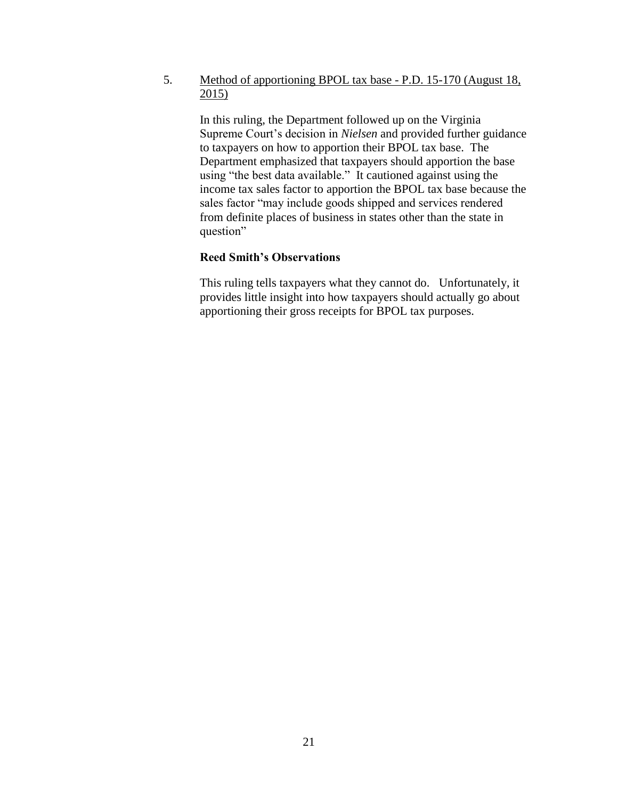5. Method of apportioning BPOL tax base - P.D. 15-170 (August 18,  $2015)$ 

In this ruling, the Department followed up on the Virginia Supreme Court's decision in *Nielsen* and provided further guidance to taxpayers on how to apportion their BPOL tax base. The Department emphasized that taxpayers should apportion the base using "the best data available." It cautioned against using the income tax sales factor to apportion the BPOL tax base because the sales factor "may include goods shipped and services rendered from definite places of business in states other than the state in question"

## **Reed Smith's Observations**

This ruling tells taxpayers what they cannot do. Unfortunately, it provides little insight into how taxpayers should actually go about apportioning their gross receipts for BPOL tax purposes.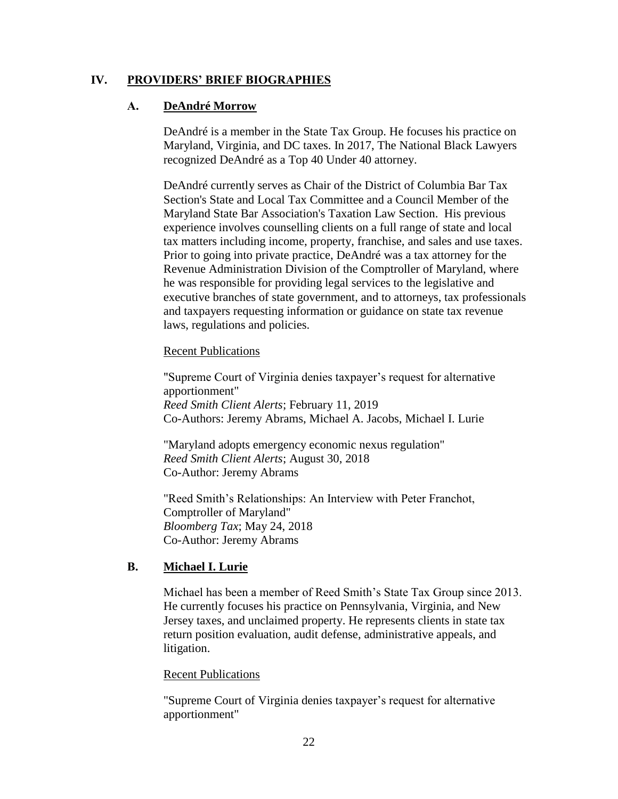## **IV. PROVIDERS' BRIEF BIOGRAPHIES**

## **A. DeAndré Morrow**

DeAndré is a member in the State Tax Group. He focuses his practice on Maryland, Virginia, and DC taxes. In 2017, The National Black Lawyers recognized DeAndré as a Top 40 Under 40 attorney.

DeAndré currently serves as Chair of the District of Columbia Bar Tax Section's State and Local Tax Committee and a Council Member of the Maryland State Bar Association's Taxation Law Section. His previous experience involves counselling clients on a full range of state and local tax matters including income, property, franchise, and sales and use taxes. Prior to going into private practice, DeAndré was a tax attorney for the Revenue Administration Division of the Comptroller of Maryland, where he was responsible for providing legal services to the legislative and executive branches of state government, and to attorneys, tax professionals and taxpayers requesting information or guidance on state tax revenue laws, regulations and policies.

## Recent Publications

"Supreme Court of Virginia denies taxpayer's request for alternative apportionment" *Reed Smith Client Alerts*; February 11, 2019 Co-Authors: Jeremy Abrams, Michael A. Jacobs, Michael I. Lurie

"Maryland adopts emergency economic nexus regulation" *Reed Smith Client Alerts*; August 30, 2018 Co-Author: Jeremy Abrams

"Reed Smith's Relationships: An Interview with Peter Franchot, Comptroller of Maryland" *Bloomberg Tax*; May 24, 2018 Co-Author: Jeremy Abrams

# **B. Michael I. Lurie**

Michael has been a member of Reed Smith's State Tax Group since 2013. He currently focuses his practice on Pennsylvania, Virginia, and New Jersey taxes, and unclaimed property. He represents clients in state tax return position evaluation, audit defense, administrative appeals, and litigation.

## Recent Publications

"Supreme Court of Virginia denies taxpayer's request for alternative apportionment"